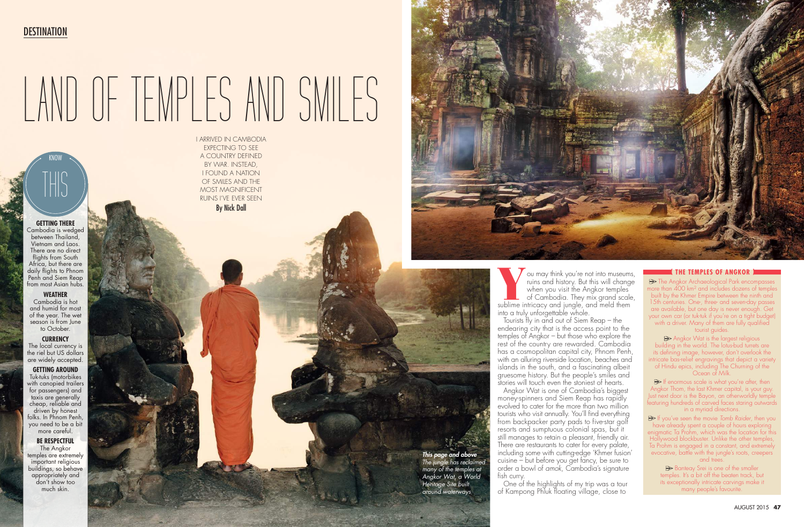# **GETTING THERE**

Cambodia is wedged between Thailand, Vietnam and Laos. There are no direct flights from South Africa, but there are daily flights to Phnom Penh and Siem Reap from most Asian hubs.

## **WEATHER**

Cambodia is hot and humid for most of the year. The wet season is from June to October.

#### **CURRENCY**

The local currency is the riel but US dollars are widely accepted.

You may think you're not into museums, ruins and history. But this will change when you visit the Angkor temples of Cambodia. They mix grand scale, sublime intricacy and jungle, and meld them ruins and history. But this will change when you visit the Angkor temples of Cambodia. They mix grand scale, sublime intricacy and jungle, and meld them into a truly unforgettable whole.

Tourists fly in and out of Siem Reap – the endearing city that is the access point to the temples of Angkor – but those who explore the rest of the country are rewarded. Cambodia has a cosmopolitan capital city, Phnom Penh, with an alluring riverside location, beaches and islands in the south, and a fascinating albeit gruesome history. But the people's smiles and stories will touch even the stoniest of hearts.

**GETTING AROUND** Tuk-tuks (motorbikes with canopied trailers for passengers) and taxis are generally cheap, reliable and driven by honest folks. In Phnom Penh, you need to be a bit more careful.

### **BE RESPECTFUL**

The Angkor temples are extremely important religious buildings, so behave appropriately and don't show too much skin.



KNOW

THIS

Angkor Wat is the largest religious building in the world. The lotus-bud turrets are its defining image, however, don't overlook the intricate bas-relief engravings that depict a variety of Hindu epics, including The Churning of the Ocean of Milk.

 $\triangleright$  If enormous scale is what you're after, then Angkor Thom, the last Khmer capital, is your guy. ust next door is the Bayon, an otherworldly temple featuring hundreds of carved faces staring outwards in a myriad directions.

Angkor Wat is one of Cambodia's biggest money-spinners and Siem Reap has rapidly evolved to cater for the more than two million tourists who visit annually. You'll find everything from backpacker party pads to five-star golf resorts and sumptuous colonial spas, but it still manages to retain a pleasant, friendly air. There are restaurants to cater for every palate, including some with cutting-edge 'Khmer fusion' cuisine – but before you get fancy, be sure to order a bowl of *amok*, Cambodia's signature fish curry.

Banteay Srei is one of the smaller temples. It's a bit off the beaten track, but its exceptionally intricate carvings make it many people's favourite.

One of the highlights of my trip was a tour of Kampong Phluk floating village, close to

I ARRIVED IN CAMBODIA

EXPECTING TO SEE A COUNTRY DEFINED BY WAR. INSTEAD, I FOUND A NATION OF SMILES AND THE MOST MAGNIFICENT RUINS I'VE EVER SEEN

By Nick Dall



# **DESTINATION**

# LAND OF TEMPLES AND SMILES

#### **( THE TEMPLES OF ANGKOR )**

 $\implies$  The Angkor Archaeological Park encompasses more than  $\widetilde{400}$  km<sup>2</sup> and includes dozens of temples built by the Khmer Empire between the ninth and 15th centuries. One-, three- and seven-day passes are available, but one day is never enough. Get your own car (or tuk-tuk if you're on a tight budget) with a driver. Many of them are fully qualified tourist quides.

If you've seen the movie *Tomb Raider*, then you have already spent a couple of hours exploring enigmatic Ta Prohm, which was the location for this Hollywood blockbuster. Unlike the other temples, Ta Prohm is engaged in a constant, and extremely evocative, battle with the jungle's roots, creepers and trees.

*This page and above The jungle has reclaimed many of the temples at Angkor Wat, a World Heritage Site built around waterways*